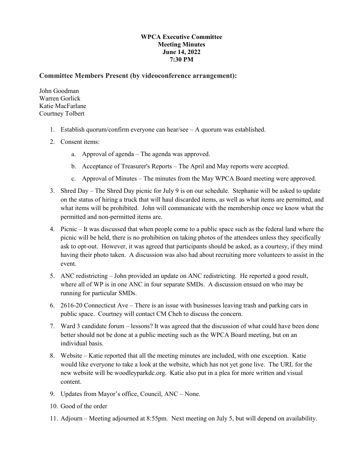## **WPCA Executive Committee Meeting Minutes June 14, 2022 7:30 PM**

## **Committee Members Present (by videoconference arrangement):**

John Goodman Warren Gorlick Katie MacFarlane Courtney Tolbert

- 1. Establish quorum/confirm everyone can hear/see A quorum was established.
- 2. Consent items:
	- a. Approval of agenda The agenda was approved.
	- b. Acceptance of Treasurer's Reports The April and May reports were accepted.
	- c. Approval of Minutes The minutes from the May WPCA Board meeting were approved.
- 3. Shred Day The Shred Day picnic for July 9 is on our schedule. Stephanie will be asked to update on the status of hiring a truck that will haul discarded items, as well as what items are permitted, and what items will be prohibited. John will communicate with the membership once we know what the permitted and non-permitted items are.
- 4. Picnic It was discussed that when people come to a public space such as the federal land where the picnic will be held, there is no prohibition on taking photos of the attendees unless they specifically ask to opt-out. However, it was agreed that participants should be asked, as a courtesy, if they mind having their photo taken. A discussion was also had about recruiting more volunteers to assist in the event.
- 5. ANC redistricting John provided an update on ANC redistricting. He reported a good result, where all of WP is in one ANC in four separate SMDs. A discussion ensued on who may be running for particular SMDs.
- 6. 2616-20 Connecticut Ave There is an issue with businesses leaving trash and parking cars in public space. Courtney will contact CM Cheh to discuss the concern.
- 7. Ward 3 candidate forum lessons? It was agreed that the discussion of what could have been done better should not be done at a public meeting such as the WPCA Board meeting, but on an individual basis.
- 8. Website Katie reported that all the meeting minutes are included, with one exception. Katie would like everyone to take a look at the website, which has not yet gone live. The URL for the new website will be woodleyparkdc.org. Katie also put in a plea for more written and visual content.
- 9. Updates from Mayor's office, Council, ANC None.
- 10. Good of the order
- 11. Adjourn Meeting adjourned at 8:55pm. Next meeting on July 5, but will depend on availability.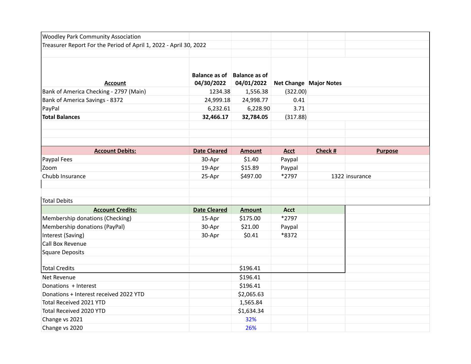| <b>Woodley Park Community Association</b>                         |                                           |               |             |                        |                |
|-------------------------------------------------------------------|-------------------------------------------|---------------|-------------|------------------------|----------------|
| Treasurer Report For the Period of April 1, 2022 - April 30, 2022 |                                           |               |             |                        |                |
|                                                                   |                                           |               |             |                        |                |
| Account                                                           | Balance as of Balance as of<br>04/30/2022 | 04/01/2022    |             | Net Change Major Notes |                |
| Bank of America Checking - 2797 (Main)                            | 1234.38                                   | 1,556.38      | (322.00)    |                        |                |
| Bank of America Savings - 8372                                    | 24,999.18                                 | 24,998.77     | 0.41        |                        |                |
| PayPal                                                            | 6,232.61                                  | 6,228.90      | 3.71        |                        |                |
| <b>Total Balances</b>                                             | 32,466.17                                 | 32,784.05     | (317.88)    |                        |                |
|                                                                   |                                           |               |             |                        |                |
| <b>Account Debits:</b>                                            | <b>Date Cleared</b>                       | <b>Amount</b> | <b>Acct</b> | Check #                | <b>Purpose</b> |
| Paypal Fees                                                       | 30-Apr                                    | \$1.40        | Paypal      |                        |                |
| Zoom                                                              | 19-Apr                                    | \$15.89       | Paypal      |                        |                |
| Chubb Insurance                                                   | 25-Apr                                    | \$497.00      | *2797       |                        | 1322 insurance |
|                                                                   |                                           |               |             |                        |                |
| <b>Total Debits</b>                                               |                                           |               |             |                        |                |
| <b>Account Credits:</b>                                           | <b>Date Cleared</b>                       | <b>Amount</b> | <b>Acct</b> |                        |                |
| Membership donations (Checking)                                   | 15-Apr                                    | \$175.00      | *2797       |                        |                |
| Membership donations (PayPal)                                     | 30-Apr                                    | \$21.00       | Paypal      |                        |                |
| Interest (Saving)                                                 | 30-Apr                                    | \$0.41        | *8372       |                        |                |
| Call Box Revenue                                                  |                                           |               |             |                        |                |
| <b>Square Deposits</b>                                            |                                           |               |             |                        |                |
|                                                                   |                                           |               |             |                        |                |
| <b>Total Credits</b>                                              |                                           | \$196.41      |             |                        |                |
| Net Revenue                                                       |                                           | \$196.41      |             |                        |                |
| Donations + Interest                                              |                                           | \$196.41      |             |                        |                |
| Donations + Interest received 2022 YTD                            |                                           | \$2,065.63    |             |                        |                |
| Total Received 2021 YTD                                           |                                           | 1,565.84      |             |                        |                |
| Total Received 2020 YTD                                           |                                           | \$1,634.34    |             |                        |                |
| Change vs 2021                                                    |                                           | 32%           |             |                        |                |
| Change vs 2020                                                    |                                           | 26%           |             |                        |                |